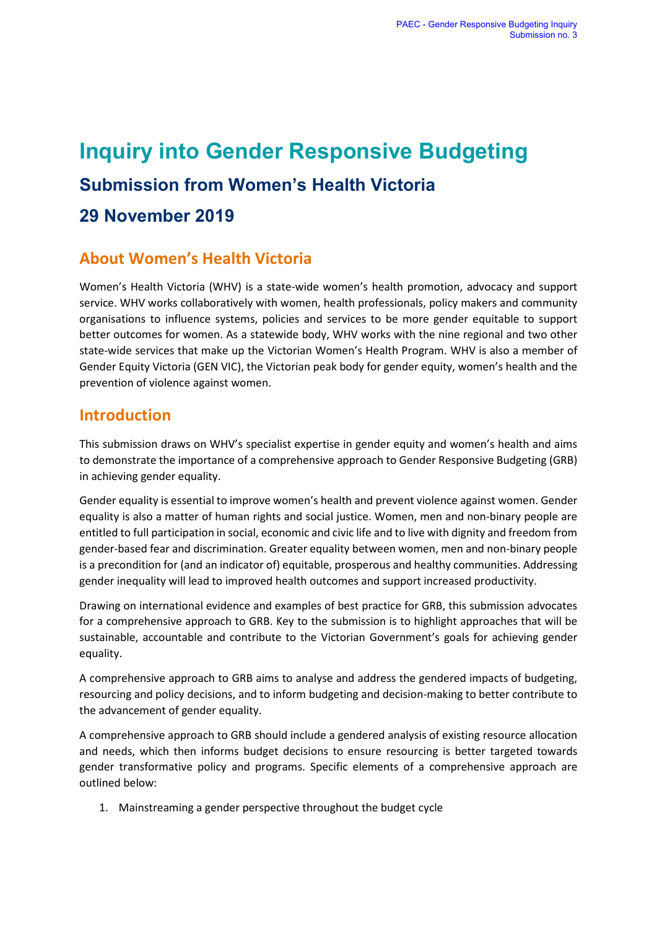# **Inquiry into Gender Responsive Budgeting Submission from Women's Health Victoria 29 November 2019**

# **About Women's Health Victoria**

Women's Health Victoria (WHV) is a state-wide women's health promotion, advocacy and support service. WHV works collaboratively with women, health professionals, policy makers and community organisations to influence systems, policies and services to be more gender equitable to support better outcomes for women. As a statewide body, WHV works with the nine regional and two other state-wide services that make up the Victorian Women's Health Program. WHV is also a member of Gender Equity Victoria (GEN VIC), the Victorian peak body for gender equity, women's health and the prevention of violence against women.

# **Introduction**

This submission draws on WHV's specialist expertise in gender equity and women's health and aims to demonstrate the importance of a comprehensive approach to Gender Responsive Budgeting (GRB) in achieving gender equality.

Gender equality is essential to improve women's health and prevent violence against women. Gender equality is also a matter of human rights and social justice. Women, men and non-binary people are entitled to full participation in social, economic and civic life and to live with dignity and freedom from gender-based fear and discrimination. Greater equality between women, men and non-binary people is a precondition for (and an indicator of) equitable, prosperous and healthy communities. Addressing gender inequality will lead to improved health outcomes and support increased productivity.

Drawing on international evidence and examples of best practice for GRB, this submission advocates for a comprehensive approach to GRB. Key to the submission is to highlight approaches that will be sustainable, accountable and contribute to the Victorian Government's goals for achieving gender equality.

A comprehensive approach to GRB aims to analyse and address the gendered impacts of budgeting, resourcing and policy decisions, and to inform budgeting and decision-making to better contribute to the advancement of gender equality.

A comprehensive approach to GRB should include a gendered analysis of existing resource allocation and needs, which then informs budget decisions to ensure resourcing is better targeted towards gender transformative policy and programs. Specific elements of a comprehensive approach are outlined below:

1. Mainstreaming a gender perspective throughout the budget cycle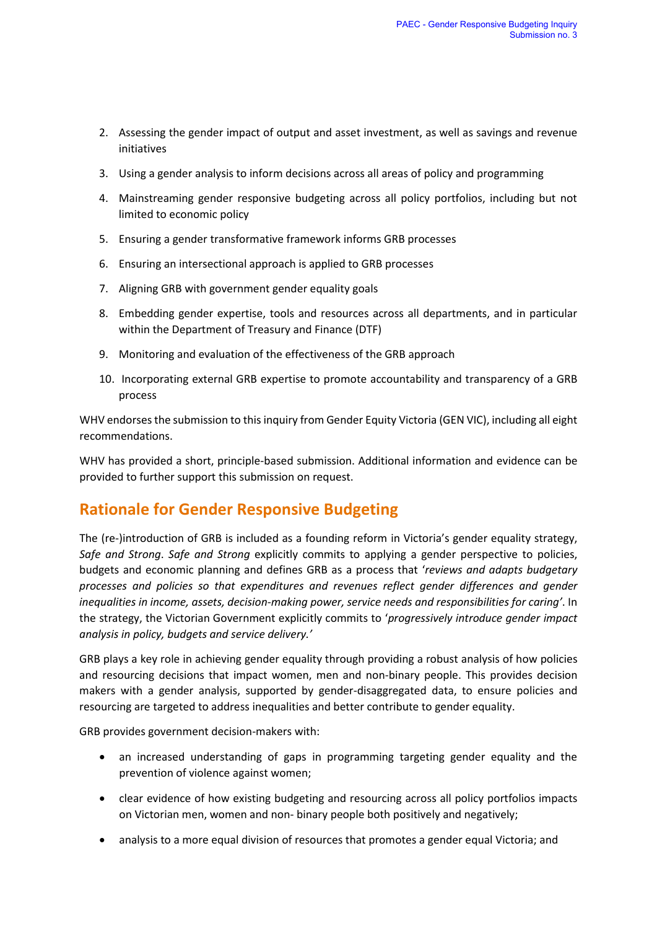- 2. Assessing the gender impact of output and asset investment, as well as savings and revenue initiatives
- 3. Using a gender analysis to inform decisions across all areas of policy and programming
- 4. Mainstreaming gender responsive budgeting across all policy portfolios, including but not limited to economic policy
- 5. Ensuring a gender transformative framework informs GRB processes
- 6. Ensuring an intersectional approach is applied to GRB processes
- 7. Aligning GRB with government gender equality goals
- 8. Embedding gender expertise, tools and resources across all departments, and in particular within the Department of Treasury and Finance (DTF)
- 9. Monitoring and evaluation of the effectiveness of the GRB approach
- 10. Incorporating external GRB expertise to promote accountability and transparency of a GRB process

WHV endorses the submission to this inquiry from Gender Equity Victoria (GEN VIC), including all eight recommendations.

WHV has provided a short, principle-based submission. Additional information and evidence can be provided to further support this submission on request.

# **Rationale for Gender Responsive Budgeting**

The (re-)introduction of GRB is included as a founding reform in Victoria's gender equality strategy, *Safe and Strong*. *Safe and Strong* explicitly commits to applying a gender perspective to policies, budgets and economic planning and defines GRB as a process that '*reviews and adapts budgetary processes and policies so that expenditures and revenues reflect gender differences and gender inequalities in income, assets, decision-making power, service needs and responsibilities for caring'*. In the strategy, the Victorian Government explicitly commits to '*progressively introduce gender impact analysis in policy, budgets and service delivery.'*

GRB plays a key role in achieving gender equality through providing a robust analysis of how policies and resourcing decisions that impact women, men and non-binary people. This provides decision makers with a gender analysis, supported by gender-disaggregated data, to ensure policies and resourcing are targeted to address inequalities and better contribute to gender equality.

GRB provides government decision-makers with:

- an increased understanding of gaps in programming targeting gender equality and the prevention of violence against women;
- clear evidence of how existing budgeting and resourcing across all policy portfolios impacts on Victorian men, women and non- binary people both positively and negatively;
- analysis to a more equal division of resources that promotes a gender equal Victoria; and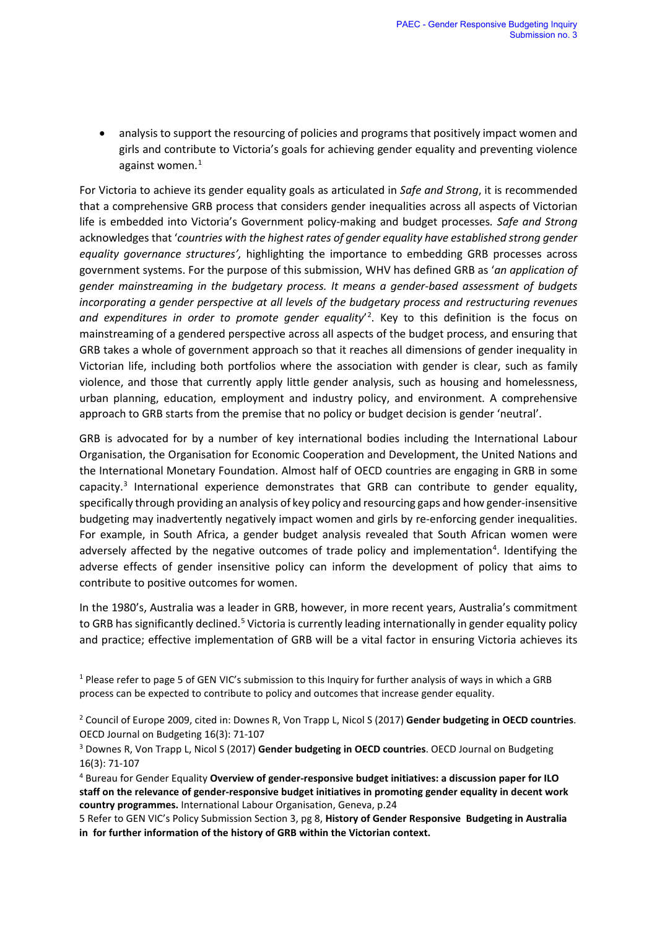• analysis to support the resourcing of policies and programs that positively impact women and girls and contribute to Victoria's goals for achieving gender equality and preventing violence against women. $1$ 

For Victoria to achieve its gender equality goals as articulated in *Safe and Strong*, it is recommended that a comprehensive GRB process that considers gender inequalities across all aspects of Victorian life is embedded into Victoria's Government policy-making and budget processes*. Safe and Strong* acknowledges that '*countries with the highest rates of gender equality have established strong gender equality governance structures',* highlighting the importance to embedding GRB processes across government systems. For the purpose of this submission, WHV has defined GRB as '*an application of gender mainstreaming in the budgetary process. It means a gender-based assessment of budgets incorporating a gender perspective at all levels of the budgetary process and restructuring revenues*  and expenditures in order to promote gender equality<sup>[2](#page-2-1)</sup>. Key to this definition is the focus on mainstreaming of a gendered perspective across all aspects of the budget process, and ensuring that GRB takes a whole of government approach so that it reaches all dimensions of gender inequality in Victorian life, including both portfolios where the association with gender is clear, such as family violence, and those that currently apply little gender analysis, such as housing and homelessness, urban planning, education, employment and industry policy, and environment. A comprehensive approach to GRB starts from the premise that no policy or budget decision is gender 'neutral'.

GRB is advocated for by a number of key international bodies including the International Labour Organisation, the Organisation for Economic Cooperation and Development, the United Nations and the International Monetary Foundation. Almost half of OECD countries are engaging in GRB in some capacity. [3](#page-2-2) International experience demonstrates that GRB can contribute to gender equality, specifically through providing an analysis of key policy and resourcing gaps and how gender-insensitive budgeting may inadvertently negatively impact women and girls by re-enforcing gender inequalities. For example, in South Africa, a gender budget analysis revealed that South African women were adversely affected by the negative outcomes of trade policy and implementation<sup>[4](#page-2-3)</sup>. Identifying the adverse effects of gender insensitive policy can inform the development of policy that aims to contribute to positive outcomes for women.

In the 1980's, Australia was a leader in GRB, however, in more recent years, Australia's commitment to GRB has significantly declined.<sup>[5](#page-2-4)</sup> Victoria is currently leading internationally in gender equality policy and practice; effective implementation of GRB will be a vital factor in ensuring Victoria achieves its

<span id="page-2-0"></span><sup>1</sup> Please refer to page 5 of GEN VIC's submission to this Inquiry for further analysis of ways in which a GRB process can be expected to contribute to policy and outcomes that increase gender equality.

<span id="page-2-1"></span><sup>2</sup> Council of Europe 2009, cited in: Downes R, Von Trapp L, Nicol S (2017) **Gender budgeting in OECD countries**. OECD Journal on Budgeting 16(3): 71-107

<span id="page-2-2"></span><sup>3</sup> Downes R, Von Trapp L, Nicol S (2017) **Gender budgeting in OECD countries**. OECD Journal on Budgeting 16(3): 71-107 4 Bureau for Gender Equality **Overview of gender-responsive budget initiatives: a discussion paper for ILO** 

<span id="page-2-3"></span>**staff on the relevance of gender-responsive budget initiatives in promoting gender equality in decent work country programmes.** International Labour Organisation, Geneva, p.24

<span id="page-2-4"></span>5 Refer to GEN VIC's Policy Submission Section 3, pg 8, **History of Gender Responsive Budgeting in Australia in for further information of the history of GRB within the Victorian context.**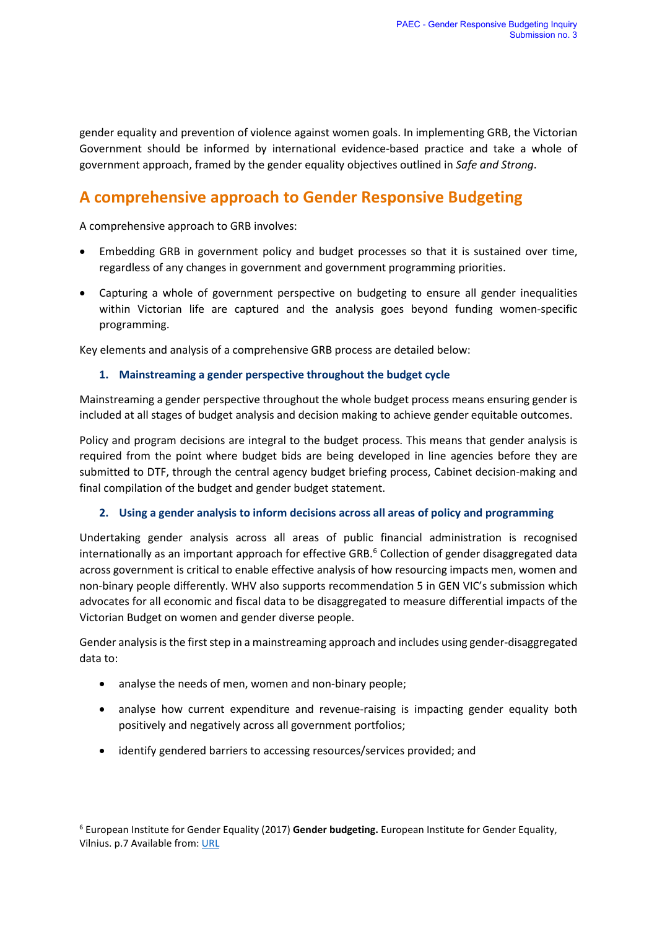gender equality and prevention of violence against women goals. In implementing GRB, the Victorian Government should be informed by international evidence-based practice and take a whole of government approach, framed by the gender equality objectives outlined in *Safe and Strong*.

# **A comprehensive approach to Gender Responsive Budgeting**

A comprehensive approach to GRB involves:

- Embedding GRB in government policy and budget processes so that it is sustained over time, regardless of any changes in government and government programming priorities.
- Capturing a whole of government perspective on budgeting to ensure all gender inequalities within Victorian life are captured and the analysis goes beyond funding women-specific programming.

Key elements and analysis of a comprehensive GRB process are detailed below:

#### **1. Mainstreaming a gender perspective throughout the budget cycle**

Mainstreaming a gender perspective throughout the whole budget process means ensuring gender is included at all stages of budget analysis and decision making to achieve gender equitable outcomes.

Policy and program decisions are integral to the budget process. This means that gender analysis is required from the point where budget bids are being developed in line agencies before they are submitted to DTF, through the central agency budget briefing process, Cabinet decision-making and final compilation of the budget and gender budget statement.

#### **2. Using a gender analysis to inform decisions across all areas of policy and programming**

Undertaking gender analysis across all areas of public financial administration is recognised internationally as an important approach for effective GRB. [6](#page-3-0) Collection of gender disaggregated data across government is critical to enable effective analysis of how resourcing impacts men, women and non-binary people differently. WHV also supports recommendation 5 in GEN VIC's submission which advocates for all economic and fiscal data to be disaggregated to measure differential impacts of the Victorian Budget on women and gender diverse people.

Gender analysis is the first step in a mainstreaming approach and includes using gender-disaggregated data to:

- analyse the needs of men, women and non-binary people;
- analyse how current expenditure and revenue-raising is impacting gender equality both positively and negatively across all government portfolios;
- identify gendered barriers to accessing resources/services provided; and

<span id="page-3-0"></span><sup>6</sup> European Institute for Gender Equality (2017) **Gender budgeting.** European Institute for Gender Equality, Vilnius. p.7 Available from: [URL](http://eige.europa.eu/gender-mainstreaming)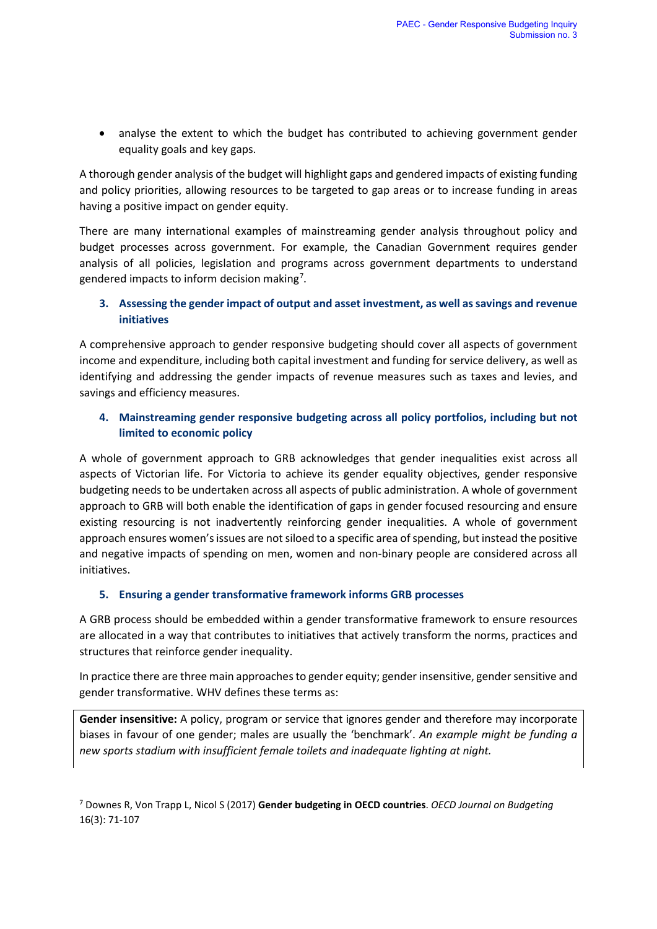• analyse the extent to which the budget has contributed to achieving government gender equality goals and key gaps.

A thorough gender analysis of the budget will highlight gaps and gendered impacts of existing funding and policy priorities, allowing resources to be targeted to gap areas or to increase funding in areas having a positive impact on gender equity.

There are many international examples of mainstreaming gender analysis throughout policy and budget processes across government. For example, the Canadian Government requires gender analysis of all policies, legislation and programs across government departments to understand gendered impacts to inform decision making<sup>[7](#page-4-0)</sup>.

## **3. Assessing the gender impact of output and asset investment, as well as savings and revenue initiatives**

A comprehensive approach to gender responsive budgeting should cover all aspects of government income and expenditure, including both capital investment and funding for service delivery, as well as identifying and addressing the gender impacts of revenue measures such as taxes and levies, and savings and efficiency measures.

## **4. Mainstreaming gender responsive budgeting across all policy portfolios, including but not limited to economic policy**

A whole of government approach to GRB acknowledges that gender inequalities exist across all aspects of Victorian life. For Victoria to achieve its gender equality objectives, gender responsive budgeting needs to be undertaken across all aspects of public administration. A whole of government approach to GRB will both enable the identification of gaps in gender focused resourcing and ensure existing resourcing is not inadvertently reinforcing gender inequalities. A whole of government approach ensures women's issues are not siloed to a specific area of spending, but instead the positive and negative impacts of spending on men, women and non-binary people are considered across all initiatives.

## **5. Ensuring a gender transformative framework informs GRB processes**

A GRB process should be embedded within a gender transformative framework to ensure resources are allocated in a way that contributes to initiatives that actively transform the norms, practices and structures that reinforce gender inequality.

In practice there are three main approaches to gender equity; gender insensitive, gender sensitive and gender transformative. WHV defines these terms as:

**Gender insensitive:** A policy, program or service that ignores gender and therefore may incorporate biases in favour of one gender; males are usually the 'benchmark'. *An example might be funding a new sports stadium with insufficient female toilets and inadequate lighting at night.*

<span id="page-4-0"></span><sup>7</sup> Downes R, Von Trapp L, Nicol S (2017) **Gender budgeting in OECD countries**. *OECD Journal on Budgeting*  16(3): 71-107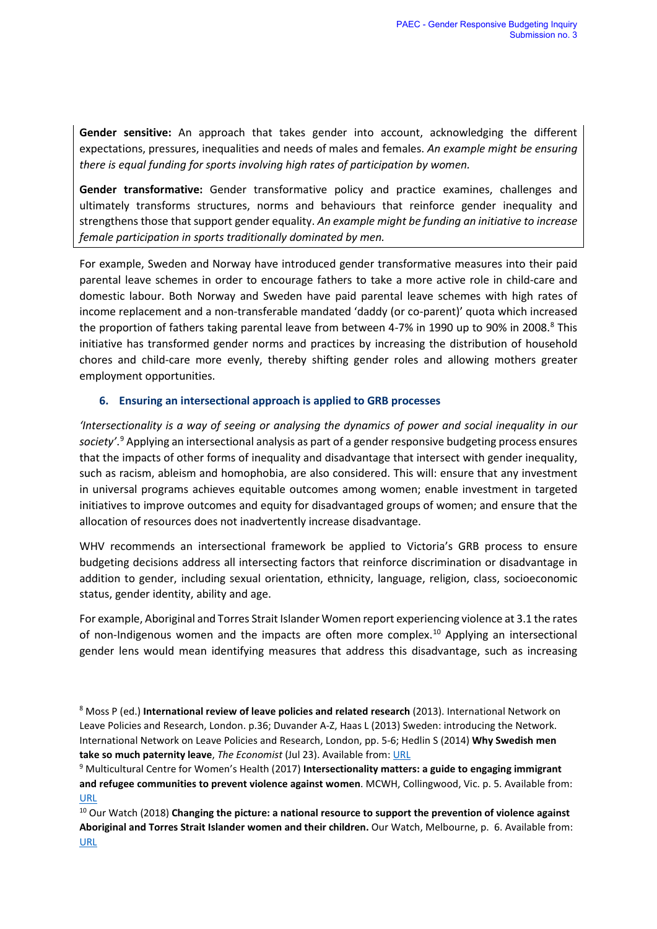**Gender sensitive:** An approach that takes gender into account, acknowledging the different expectations, pressures, inequalities and needs of males and females. *An example might be ensuring there is equal funding for sports involving high rates of participation by women.* 

**Gender transformative:** Gender transformative policy and practice examines, challenges and ultimately transforms structures, norms and behaviours that reinforce gender inequality and strengthens those that support gender equality. *An example might be funding an initiative to increase female participation in sports traditionally dominated by men.*

For example, Sweden and Norway have introduced gender transformative measures into their paid parental leave schemes in order to encourage fathers to take a more active role in child-care and domestic labour. Both Norway and Sweden have paid parental leave schemes with high rates of income replacement and a non-transferable mandated 'daddy (or co-parent)' quota which increased the proportion of fathers taking parental leave from between 4-7% in 1990 up to 90% in 200[8](#page-5-0).<sup>8</sup> This initiative has transformed gender norms and practices by increasing the distribution of household chores and child-care more evenly, thereby shifting gender roles and allowing mothers greater employment opportunities.

#### **6. Ensuring an intersectional approach is applied to GRB processes**

*'Intersectionality is a way of seeing or analysing the dynamics of power and social inequality in our society'*. [9](#page-5-1) Applying an intersectional analysis as part of a gender responsive budgeting process ensures that the impacts of other forms of inequality and disadvantage that intersect with gender inequality, such as racism, ableism and homophobia, are also considered. This will: ensure that any investment in universal programs achieves equitable outcomes among women; enable investment in targeted initiatives to improve outcomes and equity for disadvantaged groups of women; and ensure that the allocation of resources does not inadvertently increase disadvantage.

WHV recommends an intersectional framework be applied to Victoria's GRB process to ensure budgeting decisions address all intersecting factors that reinforce discrimination or disadvantage in addition to gender, including sexual orientation, ethnicity, language, religion, class, socioeconomic status, gender identity, ability and age.

For example, Aboriginal and Torres Strait Islander Women report experiencing violence at 3.1 the rates of non-Indigenous women and the impacts are often more complex.<sup>[10](#page-5-2)</sup> Applying an intersectional gender lens would mean identifying measures that address this disadvantage, such as increasing

<span id="page-5-1"></span><sup>9</sup> Multicultural Centre for Women's Health (2017) **Intersectionality matters: a guide to engaging immigrant and refugee communities to prevent violence against women**. MCWH, Collingwood, Vic. p. 5. Available from: [URL](http://mcwh.com.au/downloads/Intersectionality-Matters-Guide-2017.pdf)

<span id="page-5-2"></span>10 Our Watch (2018) **Changing the picture: a national resource to support the prevention of violence against Aboriginal and Torres Strait Islander women and their children.** Our Watch, Melbourne, p. 6. Available from: [URL](https://www.ourwatch.org.au/getmedia/ab55d7a6-8c07-45ac-a80f-dbb9e593cbf6/Changing-the-picture-AA-3.pdf.aspx)

<span id="page-5-0"></span><sup>8</sup> Moss P (ed.) **International review of leave policies and related research** (2013). International Network on Leave Policies and Research, London. p.36; Duvander A-Z, Haas L (2013) Sweden: introducing the Network. International Network on Leave Policies and Research, London, pp. 5-6; Hedlin S (2014) **[Why Swedish men](http://www.economist.com/blogs/economist-explains/2014/07/economist-explains-15)  [take so much paternity leave](http://www.economist.com/blogs/economist-explains/2014/07/economist-explains-15)**, *The Economist* (Jul 23). Available from: [URL](https://www.researchgate.net/publication/334470180_Why_Swedish_Men_Take_So_Much_Paternity_Leave)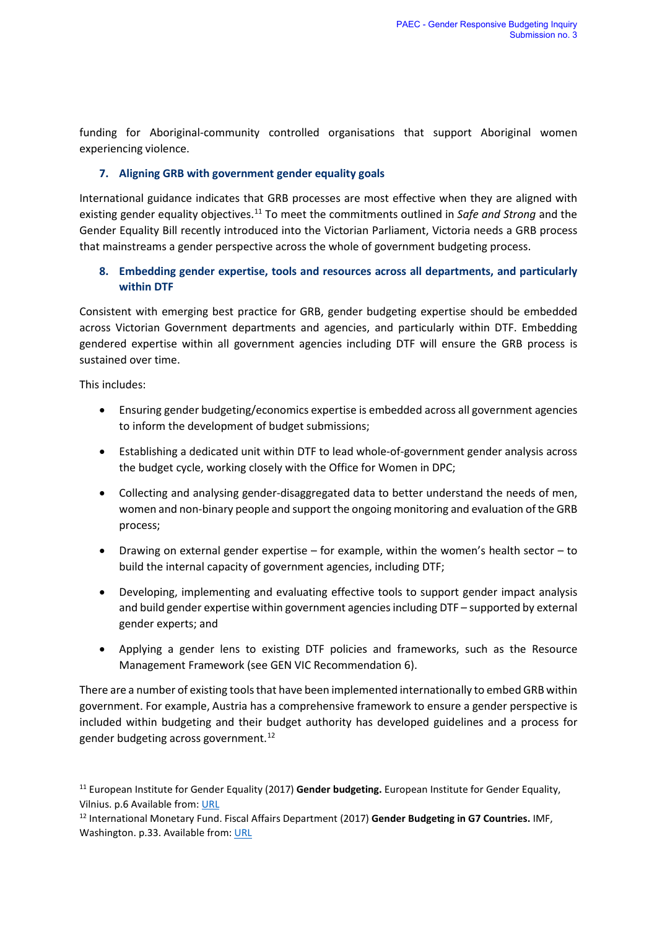funding for Aboriginal-community controlled organisations that support Aboriginal women experiencing violence.

### **7. Aligning GRB with government gender equality goals**

International guidance indicates that GRB processes are most effective when they are aligned with existing gender equality objectives. [11](#page-6-0) To meet the commitments outlined in *Safe and Strong* and the Gender Equality Bill recently introduced into the Victorian Parliament, Victoria needs a GRB process that mainstreams a gender perspective across the whole of government budgeting process.

## **8. Embedding gender expertise, tools and resources across all departments, and particularly within DTF**

Consistent with emerging best practice for GRB, gender budgeting expertise should be embedded across Victorian Government departments and agencies, and particularly within DTF. Embedding gendered expertise within all government agencies including DTF will ensure the GRB process is sustained over time.

This includes:

- Ensuring gender budgeting/economics expertise is embedded across all government agencies to inform the development of budget submissions;
- Establishing a dedicated unit within DTF to lead whole-of-government gender analysis across the budget cycle, working closely with the Office for Women in DPC;
- Collecting and analysing gender-disaggregated data to better understand the needs of men, women and non-binary people and support the ongoing monitoring and evaluation of the GRB process;
- Drawing on external gender expertise for example, within the women's health sector to build the internal capacity of government agencies, including DTF;
- Developing, implementing and evaluating effective tools to support gender impact analysis and build gender expertise within government agencies including DTF – supported by external gender experts; and
- Applying a gender lens to existing DTF policies and frameworks, such as the Resource Management Framework (see GEN VIC Recommendation 6).

There are a number of existing tools that have been implemented internationally to embed GRB within government. For example, Austria has a comprehensive framework to ensure a gender perspective is included within budgeting and their budget authority has developed guidelines and a process for gender budgeting across government. [12](#page-6-1)

<span id="page-6-0"></span><sup>11</sup> European Institute for Gender Equality (2017) **Gender budgeting.** European Institute for Gender Equality, Vilnius. p.6 Available from: [URL](http://eige.europa.eu/gender-mainstreaming)

<span id="page-6-1"></span><sup>12</sup> International Monetary Fund. Fiscal Affairs Department (2017) **Gender Budgeting in G7 Countries.** IMF, Washington. p.33. Available from[: URL](https://www.imf.org/en/Publications/Policy-Papers/Issues/2017/05/12/pp041917gender-budgeting-in-g7-countries)